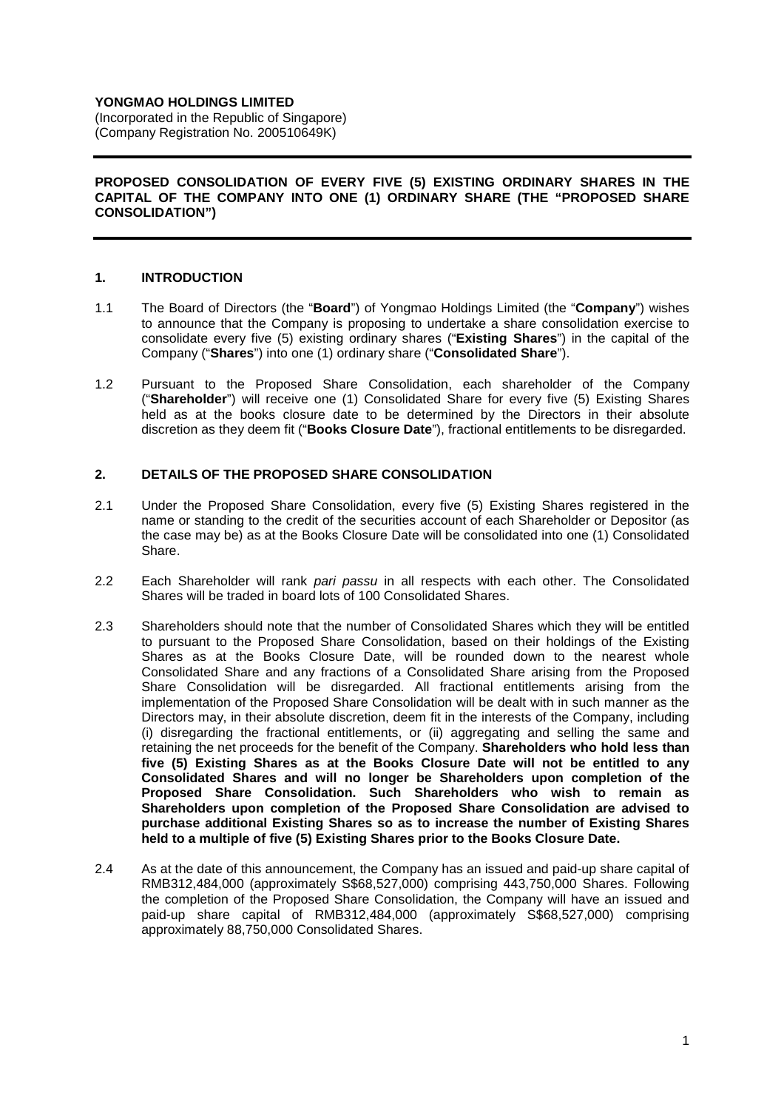# **YONGMAO HOLDINGS LIMITED**

(Incorporated in the Republic of Singapore) (Company Registration No. 200510649K)

#### **PROPOSED CONSOLIDATION OF EVERY FIVE (5) EXISTING ORDINARY SHARES IN THE CAPITAL OF THE COMPANY INTO ONE (1) ORDINARY SHARE (THE "PROPOSED SHARE CONSOLIDATION")**

### **1. INTRODUCTION**

- 1.1 The Board of Directors (the "**Board**") of Yongmao Holdings Limited (the "**Company**") wishes to announce that the Company is proposing to undertake a share consolidation exercise to consolidate every five (5) existing ordinary shares ("**Existing Shares**") in the capital of the Company ("**Shares**") into one (1) ordinary share ("**Consolidated Share**").
- 1.2 Pursuant to the Proposed Share Consolidation, each shareholder of the Company ("**Shareholder**") will receive one (1) Consolidated Share for every five (5) Existing Shares held as at the books closure date to be determined by the Directors in their absolute discretion as they deem fit ("**Books Closure Date**"), fractional entitlements to be disregarded.

### **2. DETAILS OF THE PROPOSED SHARE CONSOLIDATION**

- 2.1 Under the Proposed Share Consolidation, every five (5) Existing Shares registered in the name or standing to the credit of the securities account of each Shareholder or Depositor (as the case may be) as at the Books Closure Date will be consolidated into one (1) Consolidated Share.
- 2.2 Each Shareholder will rank pari passu in all respects with each other. The Consolidated Shares will be traded in board lots of 100 Consolidated Shares.
- 2.3 Shareholders should note that the number of Consolidated Shares which they will be entitled to pursuant to the Proposed Share Consolidation, based on their holdings of the Existing Shares as at the Books Closure Date, will be rounded down to the nearest whole Consolidated Share and any fractions of a Consolidated Share arising from the Proposed Share Consolidation will be disregarded. All fractional entitlements arising from the implementation of the Proposed Share Consolidation will be dealt with in such manner as the Directors may, in their absolute discretion, deem fit in the interests of the Company, including (i) disregarding the fractional entitlements, or (ii) aggregating and selling the same and retaining the net proceeds for the benefit of the Company. **Shareholders who hold less than five (5) Existing Shares as at the Books Closure Date will not be entitled to any Consolidated Shares and will no longer be Shareholders upon completion of the Proposed Share Consolidation. Such Shareholders who wish to remain as Shareholders upon completion of the Proposed Share Consolidation are advised to purchase additional Existing Shares so as to increase the number of Existing Shares held to a multiple of five (5) Existing Shares prior to the Books Closure Date.**
- 2.4 As at the date of this announcement, the Company has an issued and paid-up share capital of RMB312,484,000 (approximately S\$68,527,000) comprising 443,750,000 Shares. Following the completion of the Proposed Share Consolidation, the Company will have an issued and paid-up share capital of RMB312,484,000 (approximately S\$68,527,000) comprising approximately 88,750,000 Consolidated Shares.